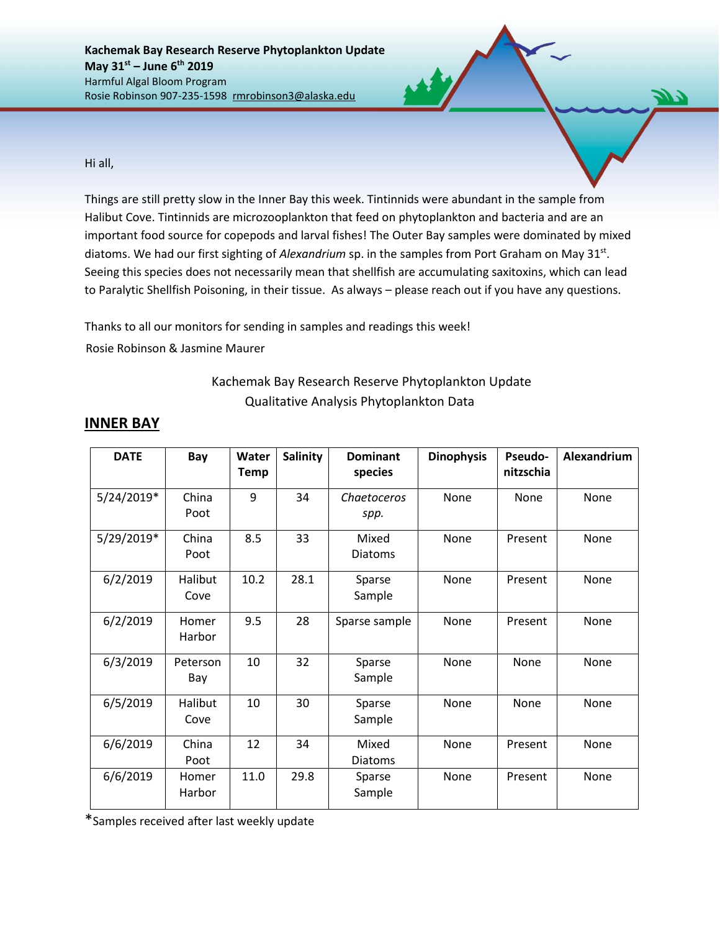**Kachemak Bay Research Reserve Phytoplankton Update May 31st – June 6th 2019** Harmful Algal Bloom Program Rosie Robinson 907-235-1598 rmrobinson3@alaska.edu

Hi all,

Things are still pretty slow in the Inner Bay this week. Tintinnids were abundant in the sample from Halibut Cove. Tintinnids are microzooplankton that feed on phytoplankton and bacteria and are an important food source for copepods and larval fishes! The Outer Bay samples were dominated by mixed diatoms. We had our first sighting of Alexandrium sp. in the samples from Port Graham on May 31<sup>st</sup>. Seeing this species does not necessarily mean that shellfish are accumulating saxitoxins, which can lead to Paralytic Shellfish Poisoning, in their tissue. As always – please reach out if you have any questions.

Thanks to all our monitors for sending in samples and readings this week! Rosie Robinson & Jasmine Maurer

## Kachemak Bay Research Reserve Phytoplankton Update Qualitative Analysis Phytoplankton Data

| <b>DATE</b> | Bay             | Water<br><b>Temp</b> | <b>Salinity</b> | <b>Dominant</b><br>species | <b>Dinophysis</b> | Pseudo-<br>nitzschia | Alexandrium |
|-------------|-----------------|----------------------|-----------------|----------------------------|-------------------|----------------------|-------------|
| 5/24/2019*  | China<br>Poot   | 9                    | 34              | Chaetoceros<br>spp.        | None              | None                 | None        |
| 5/29/2019*  | China<br>Poot   | 8.5                  | 33              | Mixed<br><b>Diatoms</b>    | None              | Present              | None        |
| 6/2/2019    | Halibut<br>Cove | 10.2                 | 28.1            | Sparse<br>Sample           | None              | Present              | None        |
| 6/2/2019    | Homer<br>Harbor | 9.5                  | 28              | Sparse sample              | None              | Present              | None        |
| 6/3/2019    | Peterson<br>Bay | 10                   | 32              | Sparse<br>Sample           | None              | None                 | None        |
| 6/5/2019    | Halibut<br>Cove | 10                   | 30              | Sparse<br>Sample           | None              | None                 | None        |
| 6/6/2019    | China<br>Poot   | 12                   | 34              | Mixed<br>Diatoms           | None              | Present              | None        |
| 6/6/2019    | Homer<br>Harbor | 11.0                 | 29.8            | Sparse<br>Sample           | None              | Present              | None        |

## **INNER BAY**

\*Samples received after last weekly update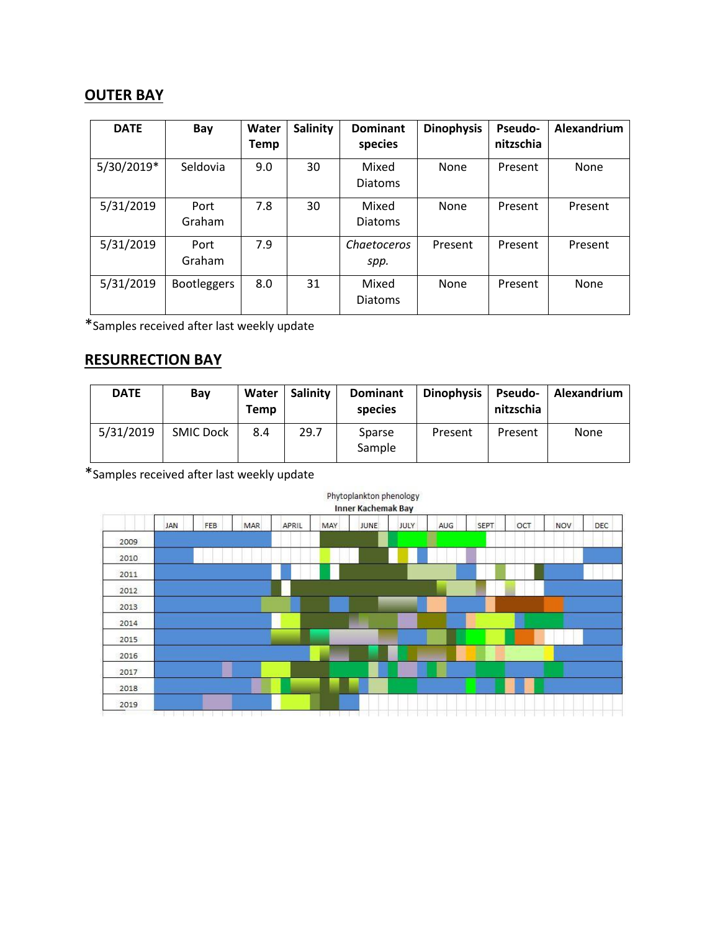## **OUTER BAY**

| <b>DATE</b> | Bay                | Water<br>Temp | <b>Salinity</b> | <b>Dominant</b><br>species | <b>Dinophysis</b> | <b>Pseudo-</b><br>nitzschia | Alexandrium |
|-------------|--------------------|---------------|-----------------|----------------------------|-------------------|-----------------------------|-------------|
| 5/30/2019*  | Seldovia           | 9.0           | 30              | Mixed<br><b>Diatoms</b>    | None              | Present                     | None        |
| 5/31/2019   | Port<br>Graham     | 7.8           | 30              | Mixed<br><b>Diatoms</b>    | None              | Present                     | Present     |
| 5/31/2019   | Port<br>Graham     | 7.9           |                 | Chaetoceros<br>spp.        | Present           | Present                     | Present     |
| 5/31/2019   | <b>Bootleggers</b> | 8.0           | 31              | Mixed<br><b>Diatoms</b>    | None              | Present                     | None        |

\*Samples received after last weekly update

## **RESURRECTION BAY**

| <b>DATE</b> | Bay              | Water<br>Temp | <b>Salinity</b> | <b>Dominant</b><br>species | <b>Dinophysis</b> | Pseudo-<br>nitzschia | Alexandrium |
|-------------|------------------|---------------|-----------------|----------------------------|-------------------|----------------------|-------------|
| 5/31/2019   | <b>SMIC Dock</b> | 8.4           | 29.7            | Sparse<br>Sample           | Present           | Present              | None        |

\*Samples received after last weekly update